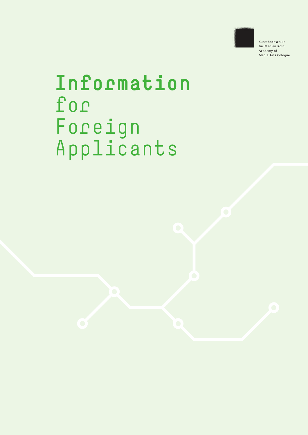

Kunsthochschule für Medien Köln Academy of Media Arts Cologne

## **Information**  for› Foreign› Applicants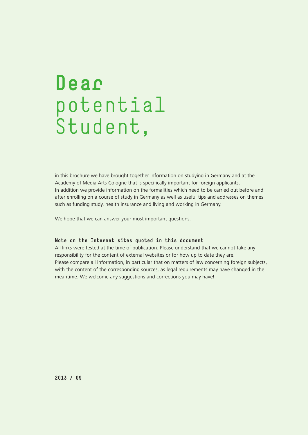## **Dear**  potential Student,

in this brochure we have brought together information on studying in Germany and at the Academy of Media Arts Cologne that is specifically important for foreign applicants. In addition we provide information on the formalities which need to be carried out before and after enrolling on a course of study in Germany as well as useful tips and addresses on themes such as funding study, health insurance and living and working in Germany.

We hope that we can answer your most important questions.

#### **Note on the Internet sites quoted in this document**

All links were tested at the time of publication. Please understand that we cannot take any responsibility for the content of external websites or for how up to date they are. Please compare all information, in particular that on matters of law concerning foreign subjects, with the content of the corresponding sources, as legal requirements may have changed in the meantime. We welcome any suggestions and corrections you may have!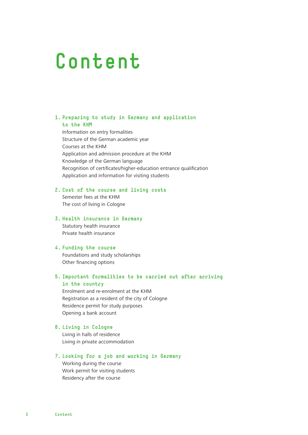## **Content**

#### **1. Preparing to study in Germany and application to the KHM**

Information on entry formalities Structure of the German academic year Courses at the KHM Application and admission procedure at the KHM Knowledge of the German language Recognition of certificates/higher-education entrance qualification Application and information for visiting students

#### **2. Cost of the course and living costs**

Semester fees at the KHM The cost of living in Cologne

#### **3. Health insurance in Germany**

Statutory health insurance Private health insurance

#### **4. Funding the course**

Foundations and study scholarships Other financing options

#### **5. Important formalities to be carried out after arriving in the country**

Enrolment and re-enrolment at the KHM Registration as a resident of the city of Cologne Residence permit for study purposes Opening a bank account

#### **6. Living in Cologne**

Living in halls of residence Living in private accommodation

#### **7. Looking for a job and working in Germany**

Working during the course Work permit for visiting students Residency after the course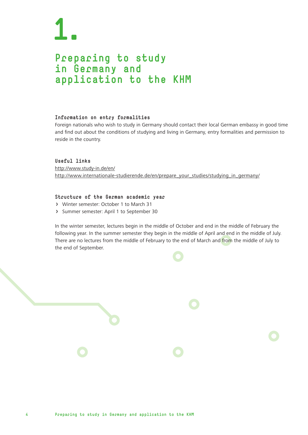### **Preparing to study in Germany and application to the KHM**

#### **Information on entry formalities**

Foreign nationals who wish to study in Germany should contact their local German embassy in good time and find out about the conditions of studying and living in Germany, entry formalities and permission to reside in the country.

**Useful links** http://www.study-in.de/en/ http://www.internationale-studierende.de/en/prepare\_your\_studies/studying\_in\_germany/

#### **Structure of the German academic year**

- › Winter semester: October 1 to March 31
- › Summer semester: April 1 to September 30

In the winter semester, lectures begin in the middle of October and end in the middle of February the following year. In the summer semester they begin in the middle of April and end in the middle of July. There are no lectures from the middle of February to the end of March and from the middle of July to the end of September.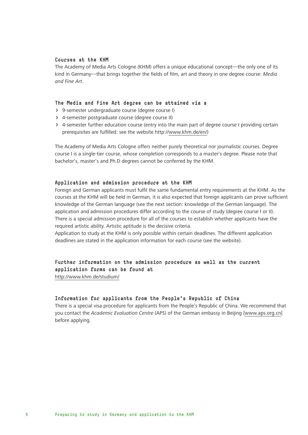#### **Courses at the KHM**

The Academy of Media Arts Cologne (KHM) offers a unique educational concept—the only one of its kind in Germany—that brings together the fields of film, art and theory in one degree course: *Media and Fine Art*.

#### **The Media and Fine Art degree can be attained via a**

- › 9-semester undergraduate course (degree course I)
- › 4-semester postgraduate course (degree course II)
- › 4-semester further education course (entry into the main part of degree course I providing certain prerequisites are fulfilled: see the website http://www.khm.de/en/)

The Academy of Media Arts Cologne offers neither purely theoretical nor journalistic courses. Degree course I is a single-tier course, whose completion corresponds to a master's degree. Please note that bachelor's, master's and Ph.D degrees cannot be conferred by the KHM.

#### **Application and admission procedure at the KHM**

Foreign and German applicants must fulfil the same fundamental entry requirements at the KHM. As the courses at the KHM will be held in German, it is also expected that foreign applicants can prove sufficient knowledge of the German language (see the next section: knowledge of the German language). The application and admission procedures differ according to the course of study (degree course I or II). There is a special admission procedure for all of the courses to establish whether applicants have the required artistic ability. Artistic aptitude is the decisive criteria.

Application to study at the KHM is only possible within certain deadlines. The different application deadlines are stated in the application information for each course (see the website).

#### **Further information on the admission procedure as well as the current application forms can be found at**

http://www.khm.de/studium/

#### **Information for applicants from the People's Republic of China**

There is a special visa procedure for applicants from the People's Republic of China. We recommend that you contact the *Academic Evaluation Centre* (APS) of the German embassy in Beijing [www.aps.org.cn] before applying.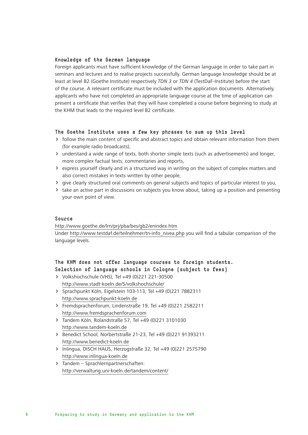#### **Knowledge of the German language**

Foreign applicants must have sufficient knowledge of the German language in order to take part in seminars and lectures and to realise projects successfully. German language knowledge should be at least at level B2 (Goethe Institute) respectively *TDN 3* or *TDN 4* (TestDaF-Institute) before the start of the course. A relevant certificate must be included with the application documents. Alternatively, applicants who have not completed an appropriate language course at the time of application can present a certificate that verifies that they will have completed a course before beginning to study at the KHM that leads to the required level B2 certificate.

#### **The Goethe Institute uses a few key phrases to sum up this level**

- › follow the main content of specific and abstract topics and obtain relevant information from them (for example radio broadcasts),
- › understand a wide range of texts, both shorter simple texts (such as advertisements) and longer, more complex factual texts, commentaries and reports,
- › express yourself clearly and in a structured way in writing on the subject of complex matters and also correct mistakes in texts written by other people,
- › give clearly structured oral comments on general subjects and topics of particular interest to you,
- › take an active part in discussions on subjects you know about, taking up a position and presenting your own point of view.

#### **Source**

http://www.goethe.de/lrn/prj/pba/bes/gb2/enindex.htm Under http://www.testdaf.de/teilnehmer/tn-info\_nivea.php you will find a tabular comparison of the language levels.

#### **The KHM does not offer language courses to foreign students. Selection of language schools in Cologne (subject to fees)**

- › Volkshochschule (VHS), Tel +49 (0)221 221-30500 http://www.stadt-koeln.de/5/volkshochschule/
- › Sprachpunkt Köln, Eigelstein 103-113, Tel +49 (0)221 7882311 http://www.sprachpunkt-koeln.de
- › Fremdsprachenforum, Lindenstraße 19, Tel +49 (0)221 2582211 http://www.fremdsprachenforum.com
- › Tandem Köln, Rolandstraße 57, Tel +49 (0)221 3101030 http://www.tandem-koeln.de
- › Benedict School, Norbertstraße 21-23, Tel +49 (0)221 91393211 http://www.benedict-koeln.de
- › Inlingua, DISCH HAUS, Herzogstraße 32, Tel +49 (0)221 2575790 http://www.inlingua-koeln.de
- › Tandem Sprachlernpartnerschaften: http://verwaltung.uni-koeln.de/tandem/content/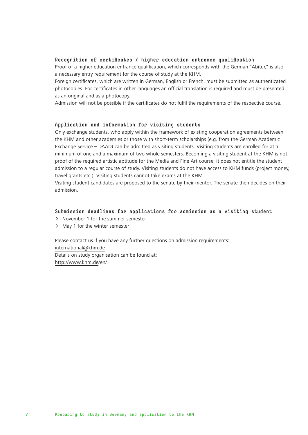#### **Recognition of certificates / higher-education entrance qualification**

Proof of a higher education entrance qualification, which corresponds with the German "Abitur," is also a necessary entry requirement for the course of study at the KHM.

Foreign certificates, which are written in German, English or French, must be submitted as authenticated photocopies. For certificates in other languages an official translation is required and must be presented as an original and as a photocopy.

Admission will not be possible if the certificates do not fulfil the requirements of the respective course.

#### **Application and information for visiting students**

Only exchange students, who apply within the framework of existing cooperation agreements between the KHM and other academies or those with short-term scholarships (e.g. from the German Academic Exchange Service – DAAD) can be admitted as visiting students. Visiting students are enrolled for at a minimum of one and a maximum of two whole semesters. Becoming a visiting student at the KHM is not proof of the required artistic aptitude for the Media and Fine Art course; it does not entitle the student admission to a regular course of study. Visiting students do not have access to KHM funds (project money, travel grants etc.). Visiting students cannot take exams at the KHM.

Visiting student candidates are proposed to the senate by their mentor. The senate then decides on their admission.

#### **Submission deadlines for applications for admission as a visiting student**

- › November 1 for the summer semester
- › May 1 for the winter semester

Please contact us if you have any further questions on admission requirements: international@khm.de Details on study organisation can be found at: http://www.khm.de/en/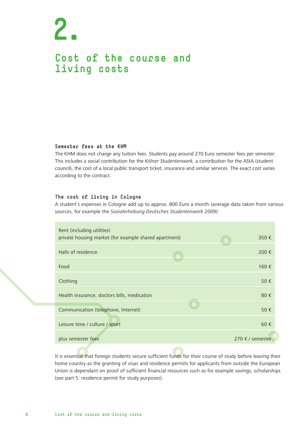### **Cost of the course and living costs**

#### **Semester fees at the KHM**

The KHM does not charge any tuition fees. Students pay around 270 Euro semester fees per semester. This includes a social contribution for the *Kölner Studentenwerk,* a contribution for the AStA (student council), the cost of a local public transport ticket, insurance and similar services. The exact cost varies according to the contract.

#### **The cost of living in Cologne**

A student's expenses in Cologne add up to approx. 800 Euro a month (average data taken from various sources, for example the *Sozialerhebung Deutsches Studentenwerk* 2009):

| Rent (including utilities)<br>private housing market (for example shared apartment) | 350€             |
|-------------------------------------------------------------------------------------|------------------|
| Halls of residence                                                                  | 200€             |
| Food                                                                                | 160 €            |
| Clothing                                                                            | 50 €             |
| Health insurance, doctors bills, medication                                         | 80€              |
| Communication (telephone, Internet)                                                 | 50 €             |
| Leisure time / culture / sport                                                      | $60 \in$         |
| plus semester fees                                                                  | 270 € / semester |

It is essential that foreign students secure sufficient funds for their course of study before leaving their home country as the granting of visas and residence permits for applicants from outside the European Union is dependant on proof of sufficient financial resources such as for example savings, scholarships (see part 5: residence permit for study purposes).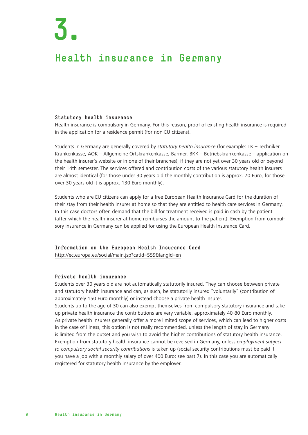### **Health insurance in Germany**

#### **Statutory health insurance**

Health insurance is compulsory in Germany. For this reason, proof of existing health insurance is required in the application for a residence permit (for non-EU citizens).

Students in Germany are generally covered by *statutory health insurance* (for example: TK – Techniker Krankenkasse, AOK – Allgemeine Ortskrankenkasse, Barmer, BKK – Betriebskrankenkasse – application on the health insurer's website or in one of their branches), if they are not yet over 30 years old or beyond their 14th semester. The services offered and contribution costs of the various statutory health insurers are almost identical (for those under 30 years old the monthly contribution is approx. 70 Euro, for those over 30 years old it is approx. 130 Euro monthly).

Students who are EU citizens can apply for a free European Health Insurance Card for the duration of their stay from their health insurer at home so that they are entitled to health care services in Germany. In this case doctors often demand that the bill for treatment received is paid in cash by the patient (after which the health insurer at home reimburses the amount to the patient). Exemption from compulsory insurance in Germany can be applied for using the European Health Insurance Card.

**Information on the European Health Insurance Card** http://ec.europa.eu/social/main.jsp?catId=559&langId=en

#### **Private health insurance**

Students over 30 years old are not automatically statutorily insured. They can choose between private and statutory health insurance and can, as such, be statutorily insured "voluntarily" (contribution of approximately 150 Euro monthly) or instead choose a private health insurer.

Students up to the age of 30 can also exempt themselves from compulsory statutory insurance and take up private health insurance the contributions are very variable, approximately 40-80 Euro monthly. As private health insurers generally offer a more limited scope of services, which can lead to higher costs in the case of illness, this option is not really recommended, unless the length of stay in Germany is limited from the outset and you wish to avoid the higher contributions of statutory health insurance. Exemption from statutory health insurance cannot be reversed in Germany, unless *employment subject to compulsory social security contributions* is taken up (social security contributions must be paid if you have a job with a monthly salary of over 400 Euro: see part 7). In this case you are automatically registered for statutory health insurance by the employer.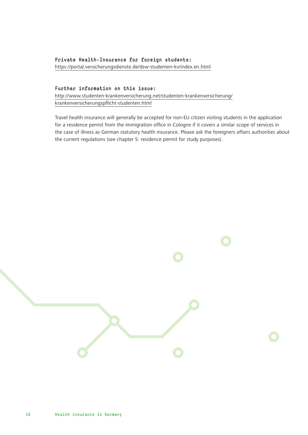#### **Private Health-Insurance for foreign students:** https://portal.versicherungsdienste.de/dsw-studenten-kv/index.en.html

#### **Further information on this issue:**

http://www.studenten-krankenversicherung.net/studenten-krankenversicherung/ krankenversicherungspflicht-studenten.html

Travel health insurance will generally be accepted for non-EU citizen visiting students in the application for a residence permit from the immigration office in Cologne if it covers a similar scope of services in the case of illness as German statutory health insurance. Please ask the foreigners affairs authorities about the current regulations (see chapter 5: residence permit for study purposes).

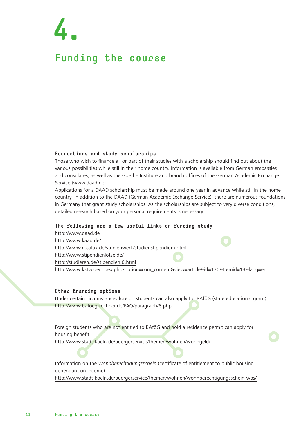## **Funding the course 4.**

#### **Foundations and study scholarships**

Those who wish to finance all or part of their studies with a scholarship should find out about the various possibilities while still in their home country. Information is available from German embassies and consulates, as well as the Goethe Institute and branch offices of the German Academic Exchange Service (www.daad.de).

Applications for a DAAD scholarship must be made around one year in advance while still in the home country. In addition to the DAAD (German Academic Exchange Service), there are numerous foundations in Germany that grant study scholarships. As the scholarships are subject to very diverse conditions, detailed research based on your personal requirements is necessary.

#### **The following are a few useful links on funding study**

http://www.daad.de http://www.kaad.de/ http://www.rosalux.de/studienwerk/studienstipendium.html http://www.stipendienlotse.de/ http://studieren.de/stipendien.0.html http://www.kstw.de/index.php?option=com\_content&view=article&id=170&Itemid=13&lang=en

#### **Other financing options**

Under certain circumstances foreign students can also apply for BAföG (state educational grant). http://www.bafoeg-rechner.de/FAQ/paragraph/8.php

Foreign students who are not entitled to BAföG and hold a residence permit can apply for housing benefit:

http://www.stadt-koeln.de/buergerservice/themen/wohnen/wohngeld/

Information on the *Wohnberechtigungsschein* (certificate of entitlement to public housing, dependant on income):

http://www.stadt-koeln.de/buergerservice/themen/wohnen/wohnberechtigungsschein-wbs/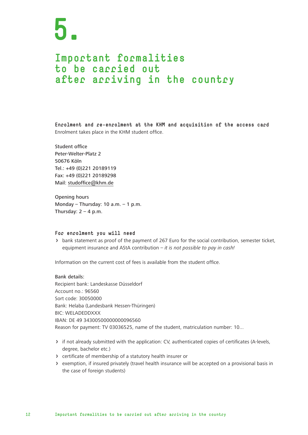### **Important formalities to be carried out after arriving in the country**

**Enrolment and re-enrolment at the KHM and acquisition of the access card** Enrolment takes place in the KHM student office.

Student office Peter-Welter-Platz 2 50676 Köln Tel.: +49 (0)221 20189119 Fax: +49 (0)221 20189298 Mail: studoffice@khm.de

Opening hours Monday – Thursday:  $10$  a.m. –  $1$  p.m. Thursday:  $2 - 4$  p.m.

#### **For enrolment you will need**

› bank statement as proof of the payment of 267 Euro for the social contribution, semester ticket, equipment insurance and AStA contribution – *it is not possible to pay in cash!*

Information on the current cost of fees is available from the student office.

Bank details: Recipient bank: Landeskasse Düsseldorf Account no.: 96560 Sort code: 30050000 Bank: Helaba (Landesbank Hessen-Thüringen) BIC: WELADEDDXXX IBAN: DE 49 34300500000000096560 Reason for payment: TV 03036525, name of the student, matriculation number: 10...

- › if not already submitted with the application: CV, authenticated copies of certificates (A-levels, degree, bachelor etc.)
- › certificate of membership of a statutory health insurer or
- › exemption, if insured privately (travel health insurance will be accepted on a provisional basis in the case of foreign students)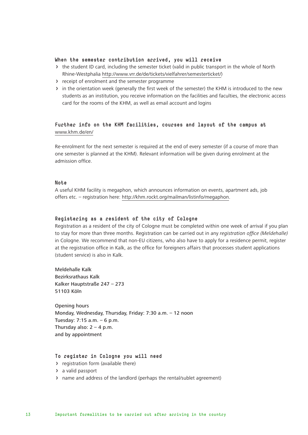#### **When the semester contribution arrived, you will receive**

- › the student ID card, including the semester ticket (valid in public transport in the whole of North Rhine-Westphalia http://www.vrr.de/de/tickets/vielfahrer/semesterticket/)
- › receipt of enrolment and the semester programme
- › in the orientation week (generally the first week of the semester) the KHM is introduced to the new students as an institution, you receive information on the facilities and faculties, the electronic access card for the rooms of the KHM, as well as email account and logins

#### **Further info on the KHM facilities, courses and layout of the campus at**  www.khm.de/en/

Re-enrolment for the next semester is required at the end of every semester (if a course of more than one semester is planned at the KHM). Relevant information will be given during enrolment at the admission office.

#### **Note**

A useful KHM facility is megaphon, which announces information on events, apartment ads, job offers etc. – registration here: http://khm.rockt.org/mailman/listinfo/megaphon.

#### **Registering as a resident of the city of Cologne**

Registration as a resident of the city of Cologne must be completed within one week of arrival if you plan to stay for more than three months. Registration can be carried out in any *registration office (Meldehalle)* in Cologne. We recommend that non-EU citizens, who also have to apply for a residence permit, register at the registration office in Kalk, as the office for foreigners affairs that processes student applications (student service) is also in Kalk.

Meldehalle Kalk Bezirksrathaus Kalk Kalker Hauptstraße 247 – 273 51103 Köln

Opening hours Monday, Wednesday, Thursday, Friday: 7:30 a.m. – 12 noon Tuesday: 7:15 a.m. – 6 p.m. Thursday also:  $2 - 4$  p.m. and by appointment

#### **To register in Cologne you will need**

- › registration form (available there)
- › a valid passport
- › name and address of the landlord (perhaps the rental/sublet agreement)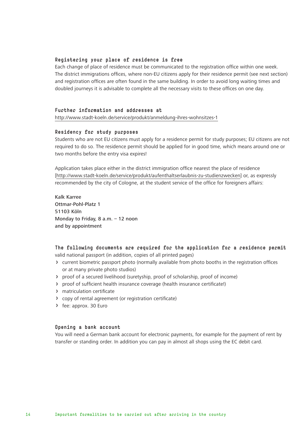#### **Registering your place of residence is free**

Each change of place of residence must be communicated to the registration office within one week. The district immigrations offices, where non-EU citizens apply for their residence permit (see next section) and registration offices are often found in the same building. In order to avoid long waiting times and doubled journeys it is advisable to complete all the necessary visits to these offices on one day.

#### **Further information and addresses at**

http://www.stadt-koeln.de/service/produkt/anmeldung-ihres-wohnsitzes-1

#### **Residency for study purposes**

Students who are not EU citizens must apply for a residence permit for study purposes; EU citizens are not required to do so. The residence permit should be applied for in good time, which means around one or two months before the entry visa expires!

Application takes place either in the district immigration office nearest the place of residence [http://www.stadt-koeln.de/service/produkt/aufenthaltserlaubnis-zu-studienzwecken] or, as expressly recommended by the city of Cologne, at the student service of the office for foreigners affairs:

Kalk Karree Ottmar-Pohl-Platz 1 51103 Köln Monday to Friday, 8 a.m. – 12 noon and by appointment

#### **The following documents are required for the application for a residence permit** valid national passport (in addition, copies of all printed pages)

- › current biometric passport photo (normally available from photo booths in the registration offices or at many private photo studios)
- › proof of a secured livelihood (suretyship, proof of scholarship, proof of income)
- › proof of sufficient health insurance coverage (health insurance certificate!)
- › matriculation certificate
- › copy of rental agreement (or registration certificate)
- › fee: approx. 30 Euro

#### **Opening a bank account**

You will need a German bank account for electronic payments, for example for the payment of rent by transfer or standing order. In addition you can pay in almost all shops using the EC debit card.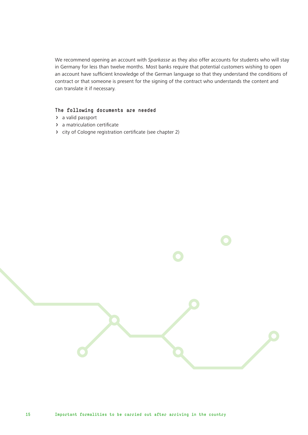We recommend opening an account with *Sparkasse* as they also offer accounts for students who will stay in Germany for less than twelve months. Most banks require that potential customers wishing to open an account have sufficient knowledge of the German language so that they understand the conditions of contract or that someone is present for the signing of the contract who understands the content and can translate it if necessary.

#### **The following documents are needed**

- › a valid passport
- › a matriculation certificate
- › city of Cologne registration certificate (see chapter 2)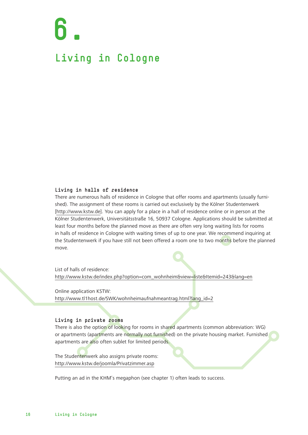## **6. Living in Cologne**

#### **Living in halls of residence**

There are numerous halls of residence in Cologne that offer rooms and apartments (usually furnished). The assignment of these rooms is carried out exclusively by the Kölner Studentenwerk [http://www.kstw.de]. You can apply for a place in a hall of residence online or in person at the Kölner Studentenwerk, Universitätsstraße 16, 50937 Cologne. Applications should be submitted at least four months before the planned move as there are often very long waiting lists for rooms in halls of residence in Cologne with waiting times of up to one year. We recommend inquiring at the Studentenwerk if you have still not been offered a room one to two months before the planned move.

List of halls of residence: http://www.kstw.de/index.php?option=com\_wohnheim&view=liste&Itemid=243&lang=en

Online application KSTW: http://www.tl1host.de/SWK/wohnheimaufnahmeantrag.html?lang\_id=2

#### **Living in private rooms**

There is also the option of looking for rooms in shared apartments (common abbreviation: WG) or apartments (apartments are normally not furnished) on the private housing market. Furnished apartments are also often sublet for limited periods.

The Studentenwerk also assigns private rooms: http://www.kstw.de/joomla/Privatzimmer.asp

Putting an ad in the KHM's megaphon (see chapter 1) often leads to success.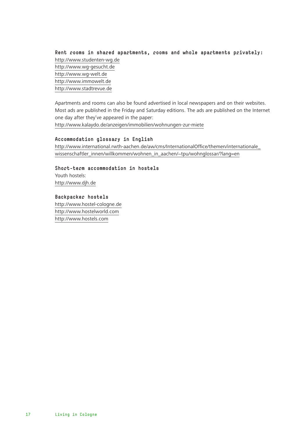**Rent rooms in shared apartments, rooms and whole apartments privately:** http://www.studenten-wg.de http://www.wg-gesucht.de http://www.wg-welt.de http://www.immowelt.de http://www.stadtrevue.de

Apartments and rooms can also be found advertised in local newspapers and on their websites. Most ads are published in the Friday and Saturday editions. The ads are published on the Internet one day after they've appeared in the paper:

http://www.kalaydo.de/anzeigen/immobilien/wohnungen-zur-miete

#### **Accommodation glossary in English**

http://www.international.rwth-aachen.de/aw/cms/InternationalOffice/themen/internationale\_ wissenschaftler\_innen/willkommen/wohnen\_in\_aachen/~tpu/wohnglossar/?lang=en

**Short-term accommodation in hostels** Youth hostels: http://www.djh.de

**Backpacker hostels** http://www.hostel-cologne.de http://www.hostelworld.com http://www.hostels.com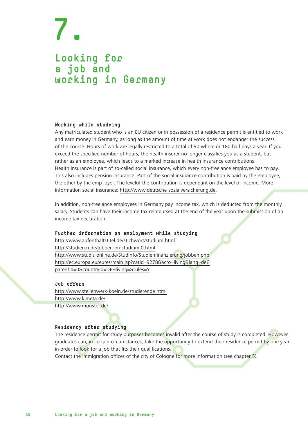### **Looking for a job and working in Germany**

#### **Working while studying**

Any matriculated student who is an EU citizen or in possession of a residence permit is entitled to work and earn money in Germany, as long as the amount of time at work does not endanger the success of the course. Hours of work are legally restricted to a total of 90 whole or 180 half days a year. If you exceed the specified number of hours, the health insurer no longer classifies you as a student, but rather as an employee, which leads to a marked increase in health insurance contributions. Health insurance is part of so-called social insurance, which every non-freelance employee has to pay. This also includes pension insurance. Part of the social insurance contribution is paid by the employee, the other by the emp loyer. The levelof the contribution is dependant on the level of income. More information social insurance: http://www.deutsche-sozialversicherung.de.

In addition, non-freelance employees in Germany pay income tax, which is deducted from the monthly salary. Students can have their income tax reimbursed at the end of the year upon the submission of an income tax declaration.

#### **Further information on employment while studying**

http://www.aufenthaltstitel.de/stichwort/studium.html http://studieren.de/jobben-im-studium.0.html http://www.studis-online.de/StudInfo/Studienfinanzierung/jobben.php http://ec.europa.eu/eures/main.jsp?catId=9278&acro=living&lang=de& parentId=0&countryId=DE&living=&rules=Y

#### **Job offers**

http://www.stellenwerk-koeln.de/studierende.html http://www.kimeta.de/ http://www.monster.de/

#### **Residency after studying**

The residence permit for study purposes becomes invalid after the course of study is completed. However, graduates can, in certain circumstances, take the opportunity to extend their residence permit by one year in order to look for a job that fits their qualifications.

Contact the immigration offices of the city of Cologne for more information (see chapter 5).